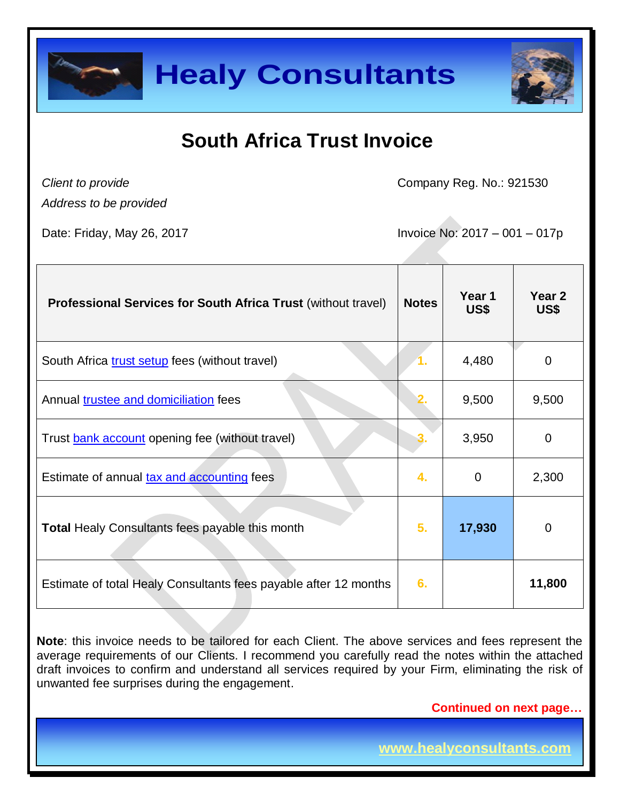



## **South Africa Trust Invoice**

*Client to provide*

Company Reg. No.: 921530

*Address to be provided*

Date: Friday, May 26, 2017 **IDE: 1998** Invoice No: 2017 – 001 – 017p

| <b>Professional Services for South Africa Trust (without travel)</b> | <b>Notes</b> | Year 1<br>US\$ | Year 2<br>US\$ |
|----------------------------------------------------------------------|--------------|----------------|----------------|
| South Africa trust setup fees (without travel)                       |              | 4,480          | 0              |
| Annual <b>trustee and domiciliation</b> fees                         |              | 9,500          | 9,500          |
| Trust <b>bank account</b> opening fee (without travel)               |              | 3,950          | 0              |
| Estimate of annual tax and accounting fees                           | 4.           | 0              | 2,300          |
| <b>Total Healy Consultants fees payable this month</b>               | 5.           | 17,930         | $\overline{0}$ |
| Estimate of total Healy Consultants fees payable after 12 months     | 6.           |                | 11,800         |

**Note**: this invoice needs to be tailored for each Client. The above services and fees represent the average requirements of our Clients. I recommend you carefully read the notes within the attached draft invoices to confirm and understand all services required by your Firm, eliminating the risk of unwanted fee surprises during the engagement.

 **Continued on next page…**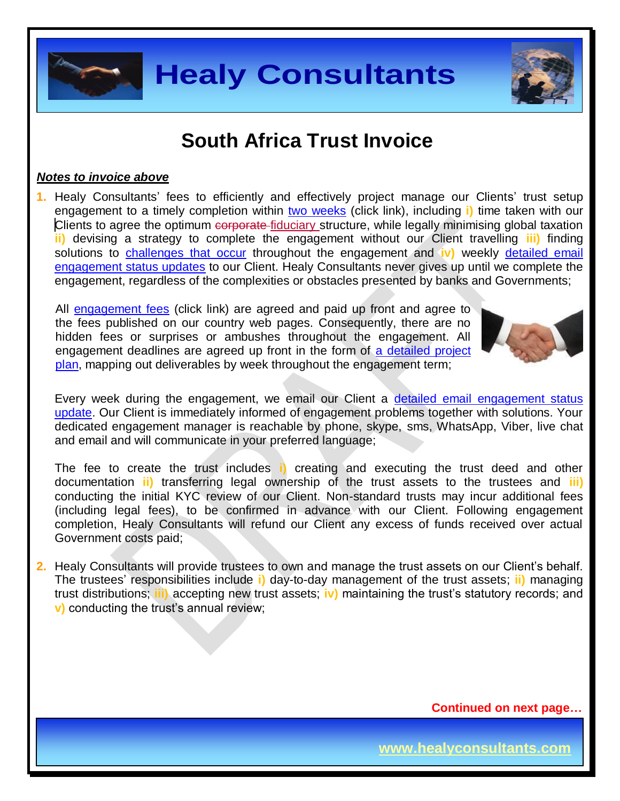

### **South Africa Trust Invoice**

#### *Notes to invoice above*

**1.** Healy Consultants' fees to efficiently and effectively project manage our Clients' trust setup engagement to a timely completion within two [weeks](http://www.justice.gov.za/master/trust.html) (click link), including **i)** time taken with our Clients to agree the optimum corporate-fiduciary structure, while legally minimising global taxation **ii)** devising a strategy to complete the engagement without our Client travelling **iii)** finding solutions to [challenges that occur](http://www.healyconsultants.com/engagement-project-management/) throughout the engagement and **iv)** weekly [detailed email](http://www.healyconsultants.com/index-important-links/weekly-engagement-status-email/)  [engagement status updates](http://www.healyconsultants.com/index-important-links/weekly-engagement-status-email/) to our Client. Healy Consultants never gives up until we complete the engagement, regardless of the complexities or obstacles presented by banks and Governments;

All [engagement fees](http://www.healyconsultants.com/company-registration-fees/) (click link) are agreed and paid up front and agree to the fees published on our country web pages. Consequently, there are no hidden fees or surprises or ambushes throughout the engagement. All engagement deadlines are agreed up front in the form of a detailed project [plan,](http://www.healyconsultants.com/index-important-links/example-project-plan/) mapping out deliverables by week throughout the engagement term;



Every week during the engagement, we email our Client a detailed email engagement status [update.](http://www.healyconsultants.com/index-important-links/weekly-engagement-status-email/) Our Client is immediately informed of engagement problems together with solutions. Your dedicated engagement manager is reachable by phone, skype, sms, WhatsApp, Viber, live chat and email and will communicate in your preferred language;

The fee to create the trust includes **i)** creating and executing the trust deed and other documentation **ii)** transferring legal ownership of the trust assets to the trustees and **iii)** conducting the initial KYC review of our Client. Non-standard trusts may incur additional fees (including legal fees), to be confirmed in advance with our Client. Following engagement completion, Healy Consultants will refund our Client any excess of funds received over actual Government costs paid;

**2.** Healy Consultants will provide trustees to own and manage the trust assets on our Client's behalf. The trustees' responsibilities include **i)** day-to-day management of the trust assets; **ii)** managing trust distributions; **iii)** accepting new trust assets; **iv)** maintaining the trust's statutory records; and **v)** conducting the trust's annual review;

 **Continued on next page…**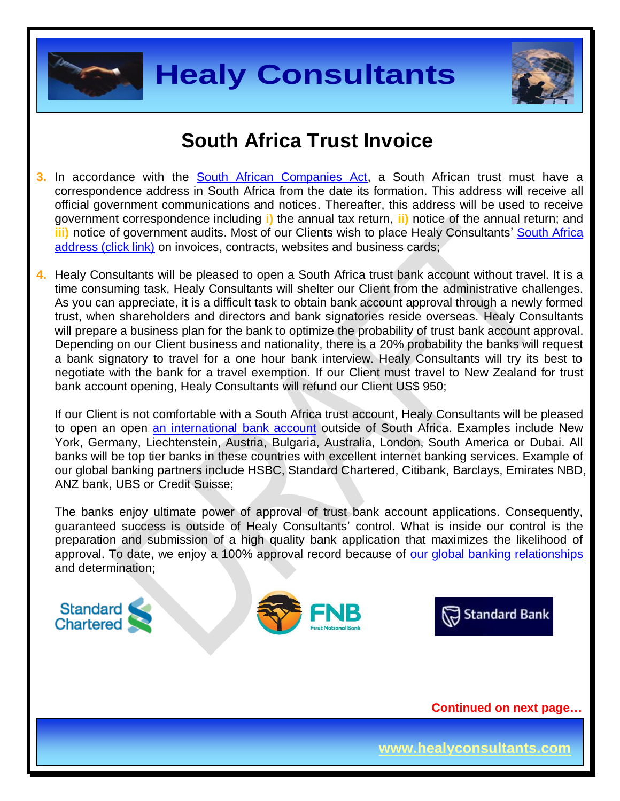



### **South Africa Trust Invoice**

- **3.** In accordance with the **South African Companies Act**, a South African trust must have a correspondence address in South Africa from the date its formation. This address will receive all official government communications and notices. Thereafter, this address will be used to receive government correspondence including **i)** the annual tax return, **ii)** notice of the annual return; and **iii)** notice of government audits. Most of our Clients wish to place Healy Consultants' [South Africa](http://www.healyconsultants.com/virtual-office/) [address \(click link\)](http://www.healyconsultants.com/virtual-office/) on invoices, contracts, websites and business cards;
- **4.** Healy Consultants will be pleased to open a South Africa trust bank account without travel. It is a time consuming task, Healy Consultants will shelter our Client from the administrative challenges. As you can appreciate, it is a difficult task to obtain bank account approval through a newly formed trust, when shareholders and directors and bank signatories reside overseas. Healy Consultants will prepare a business plan for the bank to optimize the probability of trust bank account approval. Depending on our Client business and nationality, there is a 20% probability the banks will request a bank signatory to travel for a one hour bank interview. Healy Consultants will try its best to negotiate with the bank for a travel exemption. If our Client must travel to New Zealand for trust bank account opening, Healy Consultants will refund our Client US\$ 950;

If our Client is not comfortable with a South Africa trust account, Healy Consultants will be pleased to open an open an [international bank account](http://www.healyconsultants.com/international-banking/) outside of South Africa. Examples include New York, Germany, Liechtenstein, Austria, Bulgaria, Australia, London, South America or Dubai. All banks will be top tier banks in these countries with excellent internet banking services. Example of our global banking partners include HSBC, Standard Chartered, Citibank, Barclays, Emirates NBD, ANZ bank, UBS or Credit Suisse;

The banks enjoy ultimate power of approval of trust bank account applications. Consequently, guaranteed success is outside of Healy Consultants' control. What is inside our control is the preparation and submission of a high quality bank application that maximizes the likelihood of approval. To date, we enjoy a 100% approval record because of [our global banking relationships](http://www.healyconsultants.com/international-banking/corporate-accounts/) and determination;







 **Continued on next page…**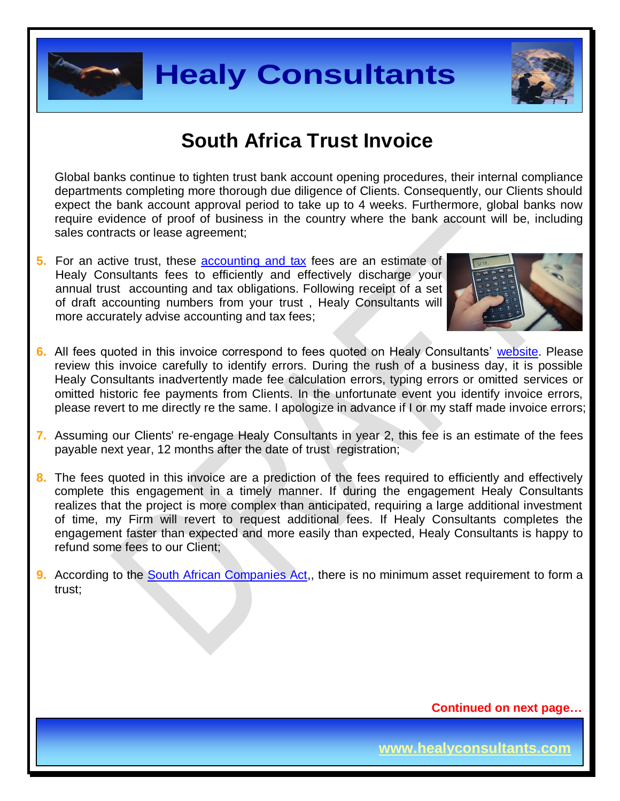



### **South Africa Trust Invoice**

Global banks continue to tighten trust bank account opening procedures, their internal compliance departments completing more thorough due diligence of Clients. Consequently, our Clients should expect the bank account approval period to take up to 4 weeks. Furthermore, global banks now require evidence of proof of business in the country where the bank account will be, including sales contracts or lease agreement;

**5.** For an active trust, these **accounting and tax** fees are an estimate of Healy Consultants fees to efficiently and effectively discharge your annual trust accounting and tax obligations. Following receipt of a set of draft accounting numbers from your trust , Healy Consultants will more accurately advise accounting and tax fees;



- **6.** All fees quoted in this invoice correspond to fees quoted on Healy Consultants' [website.](http://www.healyconsultants.com/company-registration-fees/) Please review this invoice carefully to identify errors. During the rush of a business day, it is possible Healy Consultants inadvertently made fee calculation errors, typing errors or omitted services or omitted historic fee payments from Clients. In the unfortunate event you identify invoice errors, please revert to me directly re the same. I apologize in advance if I or my staff made invoice errors;
- **7.** Assuming our Clients' re-engage Healy Consultants in year 2, this fee is an estimate of the fees payable next year, 12 months after the date of trust registration;
- **8.** The fees quoted in this invoice are a prediction of the fees required to efficiently and effectively complete this engagement in a timely manner. If during the engagement Healy Consultants realizes that the project is more complex than anticipated, requiring a large additional investment of time, my Firm will revert to request additional fees. If Healy Consultants completes the engagement faster than expected and more easily than expected, Healy Consultants is happy to refund some fees to our Client;
- **9.** According to the [South African Companies Act,](http://www.justice.gov.za/legislation/acts/2008-071amended.pdf), there is no minimum asset requirement to form a trust;

 **Continued on next page…**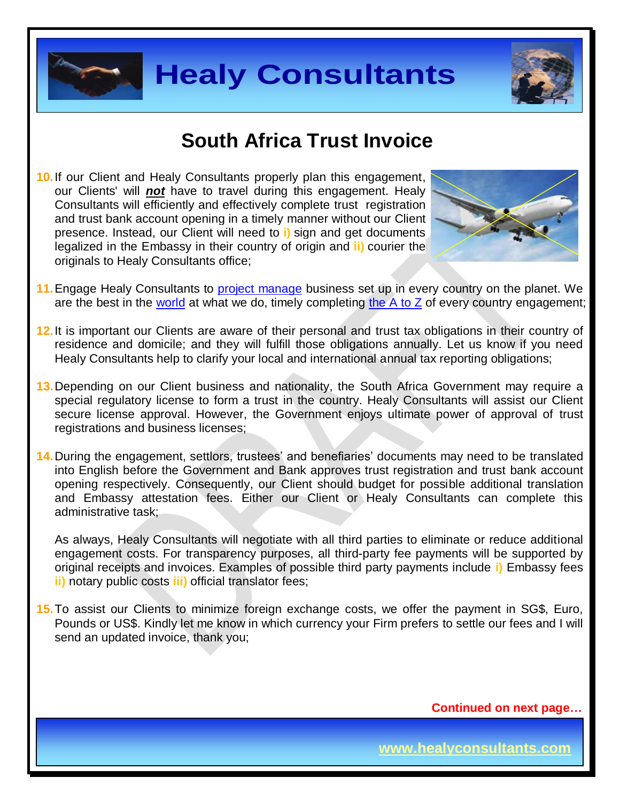



### **South Africa Trust Invoice**

**10.**If our Client and Healy Consultants properly plan this engagement, our Clients' will *not* have to travel during this engagement. Healy Consultants will efficiently and effectively complete trust registration and trust bank account opening in a timely manner without our Client presence. Instead, our Client will need to **i)** sign and get documents legalized in the Embassy in their country of origin and **ii)** courier the originals to Healy Consultants office;



- 11. Engage Healy Consultants to **project manage** business set up in every country on the planet. We are the best in the [world](http://www.healyconsultants.com/best-in-the-world/) at what we do, timely completing the  $\overline{A}$  to  $\overline{Z}$  of every country engagement;
- **12.**It is important our Clients are aware of their personal and trust tax obligations in their country of residence and domicile; and they will fulfill those obligations annually. Let us know if you need Healy Consultants help to clarify your local and international annual tax reporting obligations;
- 13. Depending on our Client business and nationality, the South Africa Government may require a special regulatory license to form a trust in the country. Healy Consultants will assist our Client secure license approval. However, the Government enjoys ultimate power of approval of trust registrations and business licenses;
- **14.**During the engagement, settlors, trustees' and benefiaries' documents may need to be translated into English before the Government and Bank approves trust registration and trust bank account opening respectively. Consequently, our Client should budget for possible additional translation and Embassy attestation fees. Either our Client or Healy Consultants can complete this administrative task;

As always, Healy Consultants will negotiate with all third parties to eliminate or reduce additional engagement costs. For transparency purposes, all third-party fee payments will be supported by original receipts and invoices. Examples of possible third party payments include **i)** Embassy fees **ii)** notary public costs **iii)** official translator fees;

**15.**To assist our Clients to minimize foreign exchange costs, we offer the payment in SG\$, Euro, Pounds or US\$. Kindly let me know in which currency your Firm prefers to settle our fees and I will send an updated invoice, thank you;

 **Continued on next page…**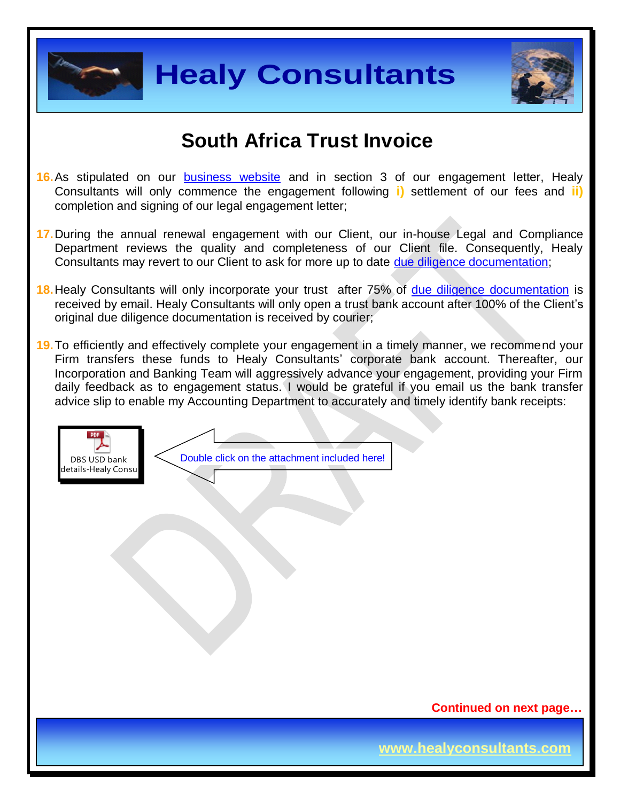



### **South Africa Trust Invoice**

- 16. As stipulated on our **[business website](http://www.healyconsultants.com/)** and in section 3 of our engagement letter, Healy Consultants will only commence the engagement following **i)** settlement of our fees and **ii)** completion and signing of our legal engagement letter;
- **17.**During the annual renewal engagement with our Client, our in-house Legal and Compliance Department reviews the quality and completeness of our Client file. Consequently, Healy Consultants may revert to our Client to ask for more up to date [due diligence documentation;](http://www.healyconsultants.com/due-diligence/)
- **18.**Healy Consultants will only incorporate your trust after 75% of [due diligence documentation](http://www.healyconsultants.com/due-diligence/) is received by email. Healy Consultants will only open a trust bank account after 100% of the Client's original due diligence documentation is received by courier;
- **19.**To efficiently and effectively complete your engagement in a timely manner, we recommend your Firm transfers these funds to Healy Consultants' corporate bank account. Thereafter, our Incorporation and Banking Team will aggressively advance your engagement, providing your Firm daily feedback as to engagement status. I would be grateful if you email us the bank transfer advice slip to enable my Accounting Department to accurately and timely identify bank receipts:



 **Continued on next page…**